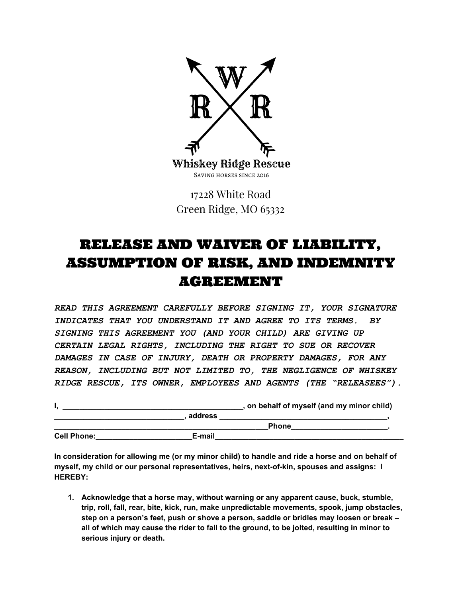

17228 White Road Green Ridge, MO 65332

## RELEASE AND WAIVER OF LIABILITY, ASSUMPTION OF RISK, AND INDEMNITY AGREEMENT

*READ THIS AGREEMENT CAREFULLY BEFORE SIGNING IT, YOUR SIGNATURE INDICATES THAT YOU UNDERSTAND IT AND AGREE TO ITS TERMS. BY SIGNING THIS AGREEMENT YOU (AND YOUR CHILD) ARE GIVING UP CERTAIN LEGAL RIGHTS, INCLUDING THE RIGHT TO SUE OR RECOVER DAMAGES IN CASE OF INJURY, DEATH OR PROPERTY DAMAGES, FOR ANY REASON, INCLUDING BUT NOT LIMITED TO, THE NEGLIGENCE OF WHISKEY RIDGE RESCUE, ITS OWNER, EMPLOYEES AND AGENTS (THE "RELEASEES").*

|                    |         | , on behalf of myself (and my minor child) |
|--------------------|---------|--------------------------------------------|
|                    | address |                                            |
|                    |         | <b>Phone</b>                               |
| <b>Cell Phone:</b> | E-mail  |                                            |

In consideration for allowing me (or my minor child) to handle and ride a horse and on behalf of **myself, my child or our personal representatives, heirs, next-of-kin, spouses and assigns: I HEREBY:**

**1. Acknowledge that a horse may, without warning or any apparent cause, buck, stumble, trip, roll, fall, rear, bite, kick, run, make unpredictable movements, spook, jump obstacles, step on a person's feet, push or shove a person, saddle or bridles may loosen or break – all of which may cause the rider to fall to the ground, to be jolted, resulting in minor to serious injury or death.**